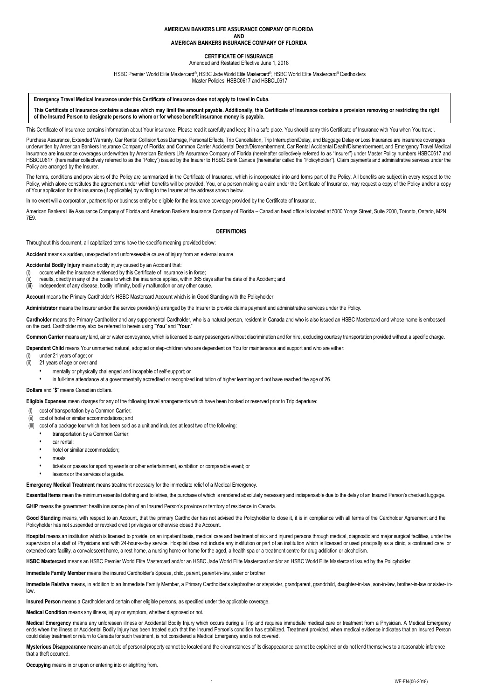## **AMERICAN BANKERS LIFE ASSURANCE COMPANY OF FLORIDA**

**AND AMERICAN BANKERS INSURANCE COMPANY OF FLORIDA**

#### **CERTIFICATE OF INSURANCE** Amended and Restated Effective June 1, 2018

HSBC Premier World Elite Mastercard ®, HSBC Jade World Elite Mastercard®, HSBC World Elite Mastercard® Cardholders

Master Policies: HSBC0617 and HSBCL0617

#### **Emergency Travel Medical Insurance under this Certificate of Insurance does not apply to travel in Cuba.**

This Certificate of Insurance contains a clause which may limit the amount payable. Additionally, this Certificate of Insurance contains a provision removing or restricting the right **of the Insured Person to designate persons to whom or for whose benefit insurance money is payable.**

This Certificate of Insurance contains information about Your insurance. Please read it carefully and keep it in a safe place. You should carry this Certificate of Insurance with You when You travel.

Purchase Assurance, Extended Warranty, Car Rental Collision/Loss Damage, Personal Effects, Trip Cancellation, Trip Interruption/Delay, and Baggage Delay or Loss Insurance are insurance coverages underwritten by American Bankers Insurance Company of Florida; and Common Carrier Accidental Death/Dismemberment, Car Rental Accidental Death/Dismemberment, and Emergency Travel Medical Insurance are insurance coverages underwritten by American Bankers Life Assurance Company of Florida (hereinafter collectively referred to as "Insurer") under Master Policy numbers HSBC0617 and HSBCL0617 (hereinafter collectively referred to as the "Policy") issued by the Insurer to HSBC Bank Canada (hereinafter called the "Policyholder"). Claim payments and administrative services under the Policy are arranged by the Insurer.

The terms, conditions and provisions of the Policy are summarized in the Certificate of Insurance, which is incorporated into and forms part of the Policy. All benefits are subject in every respect to the Policy, which alone constitutes the agreement under which benefits will be provided. You, or a person making a claim under the Certificate of Insurance, may request a copy of the Policy and/or a copy of Your application for this insurance (if applicable) by writing to the Insurer at the address shown below.

In no event will a corporation, partnership or business entity be eligible for the insurance coverage provided by the Certificate of Insurance.

American Bankers Life Assurance Company of Florida and American Bankers Insurance Company of Florida – Canadian head office is located at 5000 Yonge Street, Suite 2000, Toronto, Ontario, M2N 7E9.

### **DEFINITIONS**

Throughout this document, all capitalized terms have the specific meaning provided below:

**Accident** means a sudden, unexpected and unforeseeable cause of injury from an external source.

**Accidental Bodily Injury** means bodily injury caused by an Accident that:

- occurs while the insurance evidenced by this Certificate of Insurance is in force;
- (ii) results, directly in any of the losses to which the insurance applies, within 365 days after the date of the Accident; and
- (iii) independent of any disease, bodily infirmity, bodily malfunction or any other cause.

**Account** means the Primary Cardholder's HSBC Mastercard Account which is in Good Standing with the Policyholder.

**Administrator** means the Insurer and/or the service provider(s) arranged by the Insurer to provide claims payment and administrative services under the Policy.

**Cardholder** means the Primary Cardholder and any supplemental Cardholder, who is a natural person, resident in Canada and who is also issued an HSBC Mastercard and whose name is embossed on the card. Cardholder may also be referred to herein using "**You**" and "**Your**."

**Common Carrier** means any land, air or water conveyance, which is licensed to carry passengers without discrimination and for hire, excluding courtesy transportation provided without a specific charge.

**Dependent Child** means Your unmarried natural, adopted or step-children who are dependent on You for maintenance and support and who are either:

(i) under 21 years of age; or

- (ii) 21 years of age or over and
	- mentally or physically challenged and incapable of self-support; or

• in full-time attendance at a governmentally accredited or recognized institution of higher learning and not have reached the age of 26.

## **Dollars** and "**\$**" means Canadian dollars.

**Eligible Expenses** mean charges for any of the following travel arrangements which have been booked or reserved prior to Trip departure:

- (i) cost of transportation by a Common Carrier;
- (ii) cost of hotel or similar accommodations; and
- (iii) cost of a package tour which has been sold as a unit and includes at least two of the following:
	- transportation by a Common Carrier:
		- car rental:
	- hotel or similar accommodation;
	- meals:
	- tickets or passes for sporting events or other entertainment, exhibition or comparable event; or
	- lessons or the services of a quide.

**Emergency Medical Treatment** means treatment necessary for the immediate relief of a Medical Emergency.

**Essential Items** mean the minimum essential clothing and toiletries, the purchase of which is rendered absolutely necessary and indispensable due to the delay of an Insured Person's checked luggage.

GHIP means the government health insurance plan of an Insured Person's province or territory of residence in Canada.

Good Standing means, with respect to an Account, that the primary Cardholder has not advised the Policyholder to close it, it is in compliance with all terms of the Cardholder Agreement and the Policyholder has not suspended or revoked credit privileges or otherwise closed the Account.

**Hospital** means an institution which is licensed to provide, on an inpatient basis, medical care and treatment of sick and injured persons through medical, diagnostic and major surgical facilities, under the supervision of a staff of Physicians and with 24-hour-a-day service. Hospital does not include any institution or part of an institution which is licensed or used principally as a clinic, a continued care or extended care facility, a convalescent home, a rest home, a nursing home or home for the aged, a health spa or a treatment centre for drug addiction or alcoholism

**HSBC Mastercard** means an HSBC Premier World Elite Mastercard and/or an HSBC Jade World Elite Mastercard and/or an HSBC World Elite Mastercard issued by the Policyholder.

**Immediate Family Member** means the insured Cardholder's Spouse, child, parent, parent-in-law, sister or brother.

**Immediate Relative** means, in addition to an Immediate Family Member, a Primary Cardholder's stepbrother or stepsister, grandparent, grandchild, daughter-in-law, son-in-law, brother-in-law or sister- inlaw.

**Insured Person** means a Cardholder and certain other eligible persons, as specified under the applicable coverage.

**Medical Condition** means any illness, injury or symptom, whether diagnosed or not.

**Medical Emergency** means any unforeseen illness or Accidental Bodily Injury which occurs during a Trip and requires immediate medical care or treatment from a Physician. A Medical Emergency ends when the illness or Accidental Bodily Injury has been treated such that the Insured Person's condition has stabilized. Treatment provided, when medical evidence indicates that an Insured Person could delay treatment or return to Canada for such treatment, is not considered a Medical Emergency and is not covered.

**Mysterious Disappearance** means an article of personal property cannot be located and the circumstances of its disappearance cannot be explained or do not lend themselves to a reasonable inference that a theft occurred.

**Occupying** means in or upon or entering into or alighting from.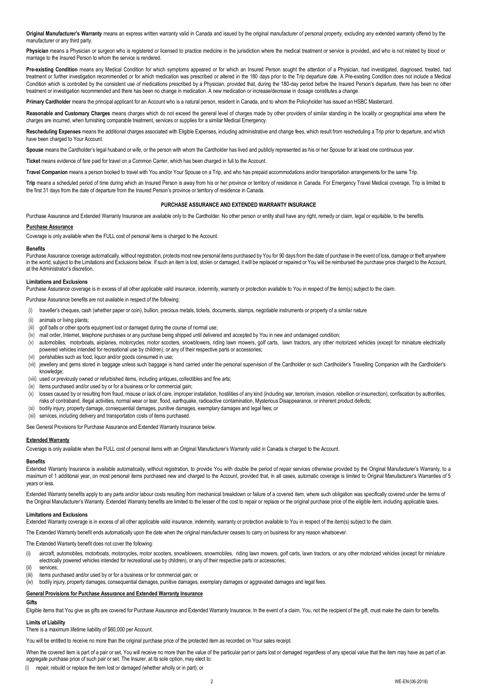Original Manufacturer's Warranty means an express written warranty valid in Canada and issued by the original manufacturer of personal property, excluding any extended warranty offered by the manufacturer or any third party.

Physician means a Physician or surgeon who is registered or licensed to practice medicine in the jurisdiction where the medical treatment or service is provided, and who is not related by blood or marriage to the Insured Person to whom the service is rendered.

Pre-existing Condition means any Medical Condition for which symptoms appeared or for which an Insured Person sought the attention of a Physician, had investigated, diagnosed, treated, had treatment or further investigation recommended or for which medication was prescribed or altered in the 180 days prior to the Trip departure date. A Pre-existing Condition does not include a Medical Condition which is controlled by the consistent use of medications prescribed by a Physician, provided that, during the 180-day period before the Insured Person's departure, there has been no other treatment or investigation recommended and there has been no change in medication. A new medication or increase/decrease in dosage constitutes a change.

**Primary Cardholder** means the principal applicant for an Account who is a natural person, resident in Canada, and to whom the Policyholder has issued an HSBC Mastercard.

**Reasonable and Customary Charges** means charges which do not exceed the general level of charges made by other providers of similar standing in the locality or geographical area where the charges are incurred, when furnishing comparable treatment, services or supplies for a similar Medical Emergency.

Rescheduling Expenses means the additional charges associated with Eligible Expenses, including administrative and change fees, which result from rescheduling a Trip prior to departure, and which have been charged to Your Account.

Spouse means the Cardholder's legal husband or wife, or the person with whom the Cardholder has lived and publicly represented as his or her Spouse for at least one continuous year.

**Ticket** means evidence of fare paid for travel on a Common Carrier, which has been charged in full to the Account.

**Travel Companion** means a person booked to travel with You and/or Your Spouse on a Trip, and who has prepaid accommodations and/or transportation arrangements for the same Trip.

Trip means a scheduled period of time during which an Insured Person is away from his or her province or territory of residence in Canada. For Emergency Travel Medical coverage, Trip is limited to the first 31 days from the date of departure from the Insured Person's province or territory of residence in Canada.

# **PURCHASE ASSURANCE AND EXTENDED WARRANTY INSURANCE**

Purchase Assurance and Extended Warranty Insurance are available only to the Cardholder. No other person or entity shall have any right, remedy or claim, legal or equitable, to the benefits.

### **Purchase Assurance**

Coverage is only available when the FULL cost of personal items is charged to the Account.

#### **Benefits**

Purchase Assurance coverage automatically, without registration, protects most new personal items purchased by You for 90 days from the date of purchase in the event of loss, damage or theft anywhere in the world, subject to the Limitations and Exclusions below. If such an item is lost, stolen or damaged, it will be replaced or repaired or You will be reimbursed the purchase price charged to the Account, at the Administrator's discretion.

#### **Limitations and Exclusions**

Purchase Assurance coverage is in excess of all other applicable valid insurance, indemnity, warranty or protection available to You in respect of the item(s) subject to the claim.

Purchase Assurance benefits are not available in respect of the following:

- (i) traveller's cheques, cash (whether paper or coin), bullion, precious metals, tickets, documents, stamps, negotiable instruments or property of a similar nature
- (ii) animals or living plants;
- (iii) golf balls or other sports equipment lost or damaged during the course of normal use;
- (iv) mail order, Internet, telephone purchases or any purchase being shipped until delivered and accepted by You in new and undamaged condition;
- (v) automobiles, motorboats, airplanes, motorcycles, motor scooters, snowblowers, riding lawn mowers, golf carts, lawn tractors, any other motorized vehicles (except for miniature electrically powered vehicles intended for recreational use by children), or any of their respective parts or accessories;
- (vi) perishables such as food, liquor and/or goods consumed in use;
- (vii) jewellery and gems stored in baggage unless such baggage is hand carried under the personal supervision of the Cardholder or such Cardholder's Travelling Companion with the Cardholder's knowledge;
- (viii) used or previously owned or refurbished items, including antiques, collectibles and fine arts;
- (ix) items purchased and/or used by or for a business or for commercial gain;
- (x) losses caused by or resulting from fraud, misuse or lack of care, improper installation, hostilities of any kind (including war, terrorism, invasion, rebellion or insurrection), confiscation by authorities, risks of contraband, illegal activities, normal wear or tear, flood, earthquake, radioactive contamination, Mysterious Disappearance, or inherent product defects;
- (xi) bodily injury, property damage, consequential damages, punitive damages, exemplary damages and legal fees; or
- (xii) services, including delivery and transportation costs of items purchased.

See General Provisions for Purchase Assurance and Extended Warranty Insurance below.

# **Extended Warranty**

Coverage is only available when the FULL cost of personal items with an Original Manufacturer's Warranty valid in Canada is charged to the Account.

# **Benefits**

Extended Warranty Insurance is available automatically, without registration, to provide You with double the period of repair services otherwise provided by the Original Manufacturer's Warranty, to a maximum of 1 additional year, on most personal items purchased new and charged to the Account, provided that, in all cases, automatic coverage is limited to Original Manufacturer's Warranties of 5 years or less.

Extended Warranty benefits apply to any parts and/or labour costs resulting from mechanical breakdown or failure of a covered item, where such obligation was specifically covered under the terms of the Original Manufacturer's Warranty. Extended Warranty benefits are limited to the lesser of the cost to repair or replace or the original purchase price of the eligible item, including applicable taxes.

#### **Limitations and Exclusions**

Extended Warranty coverage is in excess of all other applicable valid insurance, indemnity, warranty or protection available to You in respect of the item(s) subject to the claim.

The Extended Warranty benefit ends automatically upon the date when the original manufacturer ceases to carry on business for any reason whatsoever.

# The Extended Warranty benefit does not cover the following:

- (i) aircraft, automobiles, motorboats, motorcycles, motor scooters, snowblowers, snowmobiles, riding lawn mowers, golf carts, lawn tractors, or any other motorized vehicles (except for miniature electrically powered vehicles intended for recreational use by children), or any of their respective parts or accessories;
- (ii) services;
- (iii) items purchased and/or used by or for a business or for commercial gain; or
- (iv) bodily injury, property damages, consequential damages, punitive damages, exemplary damages or aggravated damages and legal fees.

#### **General Provisions for Purchase Assurance and Extended Warranty Insurance**

# **Gifts**

Eligible items that You give as gifts are covered for Purchase Assurance and Extended Warranty Insurance. In the event of a claim, You, not the recipient of the gift, must make the claim for benefits.

# **Limits of Liability**

There is a maximum lifetime liability of \$60,000 per Account.

You will be entitled to receive no more than the original purchase price of the protected item as recorded on Your sales receipt.

When the covered item is part of a pair or set, You will receive no more than the value of the particular part or parts lost or damaged regardless of any special value that the item may have as part of an aggregate purchase price of such pair or set. The Insurer, at its sole option, may elect to:

(i) repair, rebuild or replace the item lost or damaged (whether wholly or in part); or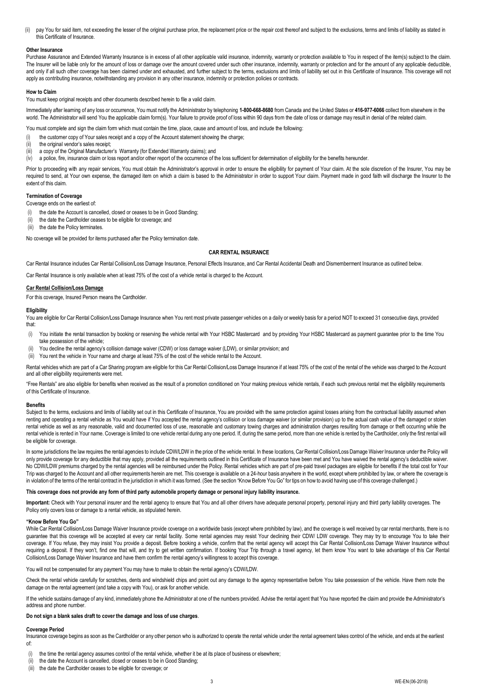(ii) pay You for said item, not exceeding the lesser of the original purchase price, the replacement price or the repair cost thereof and subject to the exclusions, terms and limits of liability as stated in this Certificate of Insurance.

## **Other Insurance**

Purchase Assurance and Extended Warranty Insurance is in excess of all other applicable valid insurance, indemnity, warranty or protection available to You in respect of the item(s) subject to the claim. The Insurer will be liable only for the amount of loss or damage over the amount covered under such other insurance, indemnity, warranty or protection and for the amount of any applicable deductible, and only if all such other coverage has been claimed under and exhausted, and further subject to the terms, exclusions and limits of liability set out in this Certificate of Insurance. This coverage will not apply as contributing insurance, notwithstanding any provision in any other insurance, indemnity or protection policies or contracts.

#### **How to Claim**

You must keep original receipts and other documents described herein to file a valid claim.

Immediately after learning of any loss or occurrence, You must notify the Administrator by telephoning **1-800-668-8680** from Canada and the United States or **416-977-6066** collect from elsewhere in the world. The Administrator will send You the applicable claim form(s). Your failure to provide proof of loss within 90 days from the date of loss or damage may result in denial of the related claim.

You must complete and sign the claim form which must contain the time, place, cause and amount of loss, and include the following:

- the customer copy of Your sales receipt and a copy of the Account statement showing the charge;
- (ii) the original vendor's sales receipt;
- (iii) a copy of the Original Manufacturer's Warranty (for Extended Warranty claims); and

(iv) a police, fire, insurance claim or loss report and/or other report of the occurrence of the loss sufficient for determination of eligibility for the benefits hereunder.

Prior to proceeding with any repair services, You must obtain the Administrator's approval in order to ensure the eligibility for payment of Your claim. At the sole discretion of the Insurer, You may be required to send, at Your own expense, the damaged item on which a claim is based to the Administrator in order to support Your claim. Payment made in good faith will discharge the Insurer to the extent of this claim.

# **Termination of Coverage**

- Coverage ends on the earliest of:
- (i) the date the Account is cancelled, closed or ceases to be in Good Standing;
- (ii) the date the Cardholder ceases to be eligible for coverage; and
- (iii) the date the Policy terminates

No coverage will be provided for items purchased after the Policy termination date.

#### **CAR RENTAL INSURANCE**

Car Rental Insurance includes Car Rental Collision/Loss Damage Insurance, Personal Effects Insurance, and Car Rental Accidental Death and Dismemberment Insurance as outlined below.

Car Rental Insurance is only available when at least 75% of the cost of a vehicle rental is charged to the Account.

# **Car Rental Collision/Loss Damage**

For this coverage, Insured Person means the Cardholder.

## **Eligibility**

You are eligible for Car Rental Collision/Loss Damage Insurance when You rent most private passenger vehicles on a daily or weekly basis for a period NOT to exceed 31 consecutive days, provided that:

- (i) You initiate the rental transaction by booking or reserving the vehicle rental with Your HSBC Mastercard and by providing Your HSBC Mastercard as payment guarantee prior to the time You take possession of the vehicle;
- (ii) You decline the rental agency's collision damage waiver (CDW) or loss damage waiver (LDW), or similar provision; and
- (iii) You rent the vehicle in Your name and charge at least 75% of the cost of the vehicle rental to the Account.

Rental vehicles which are part of a Car Sharing program are eligible for this Car Rental Collision/Loss Damage Insurance if at least 75% of the cost of the rental of the vehicle was charged to the Account and all other eligibility requirements were met.

"Free Rentals" are also eligible for benefits when received as the result of a promotion conditioned on Your making previous vehicle rentals, if each such previous rental met the eligibility requirements of this Certificate of Insurance.

## **Benefits**

Subject to the terms, exclusions and limits of liability set out in this Certificate of Insurance, You are provided with the same protection against losses arising from the contractual liability assumed when renting and operating a rental vehicle as You would have if You accepted the rental agency's collision or loss damage waiver (or similar provision) up to the actual cash value of the damaged or stolen rental vehicle as well as any reasonable, valid and documented loss of use, reasonable and customary towing charges and administration charges resulting from damage or theft occurring while the rental vehicle is rented in Your name. Coverage is limited to one vehicle rental during any one period. If, during the same period, more than one vehicle is rented by the Cardholder, only the first rental will be eligible for coverage.

In some jurisdictions the law requires the rental agencies to include CDW/LDW in the price of the vehicle rental. In these locations, Car Rental Collision/Loss Damage Waiver Insurance under the Policy will only provide coverage for any deductible that may apply, provided all the requirements outlined in this Certificate of Insurance have been met and You have waived the rental agency's deductible waiver. No CDW/LDW premiums charged by the rental agencies will be reimbursed under the Policy. Rental vehicles which are part of pre-paid travel packages are eligible for benefits if the total cost for Your Trip was charged to the Account and all other requirements herein are met. This coverage is available on a 24-hour basis anywhere in the world, except where prohibited by law, or where the coverage is in violation of the terms of the rental contract in the jurisdiction in which it was formed. (See the section "Know Before You Go" for tips on how to avoid having use of this coverage challenged.)

## **This coverage does not provide any form of third party automobile property damage or personal injury liability insurance.**

**Important:** Check with Your personal insurer and the rental agency to ensure that You and all other drivers have adequate personal property, personal injury and third party liability coverages. The Policy only covers loss or damage to a rental vehicle, as stipulated herein.

#### **"Know Before You Go"**

While Car Rental Collision/Loss Damage Waiver Insurance provide coverage on a worldwide basis (except where prohibited by law), and the coverage is well received by car rental merchants, there is no guarantee that this coverage will be accepted at every car rental facility. Some rental agencies may resist Your declining their CDW/ LDW coverage. They may try to encourage You to take their coverage. If You refuse, they may insist You provide a deposit. Before booking a vehicle, confirm that the rental agency will accept this Car Rental Collision/Loss Damage Waiver Insurance without requiring a deposit. If they won't, find one that will, and try to get written confirmation. If booking Your Trip through a travel agency, let them know You want to take advantage of this Car Rental Collision/Loss Damage Waiver Insurance and have them confirm the rental agency's willingness to accept this coverage.

You will not be compensated for any payment You may have to make to obtain the rental agency's CDW/LDW.

Check the rental vehicle carefully for scratches, dents and windshield chips and point out any damage to the agency representative before You take possession of the vehicle. Have them note the damage on the rental agreement (and take a copy with You), or ask for another vehicle.

If the vehicle sustains damage of any kind, immediately phone the Administrator at one of the numbers provided. Advise the rental agent that You have reported the claim and provide the Administrator's address and phone number.

# **Do not sign a blank sales draft to cover the damage and loss of use charges**.

# **Coverage Period**

Insurance coverage begins as soon as the Cardholder or any other person who is authorized to operate the rental vehicle under the rental agreement takes control of the vehicle, and ends at the earliest of:

- (i) the time the rental agency assumes control of the rental vehicle, whether it be at its place of business or elsewhere;
- (ii) the date the Account is cancelled, closed or ceases to be in Good Standing;
- (iii) the date the Cardholder ceases to be eligible for coverage; or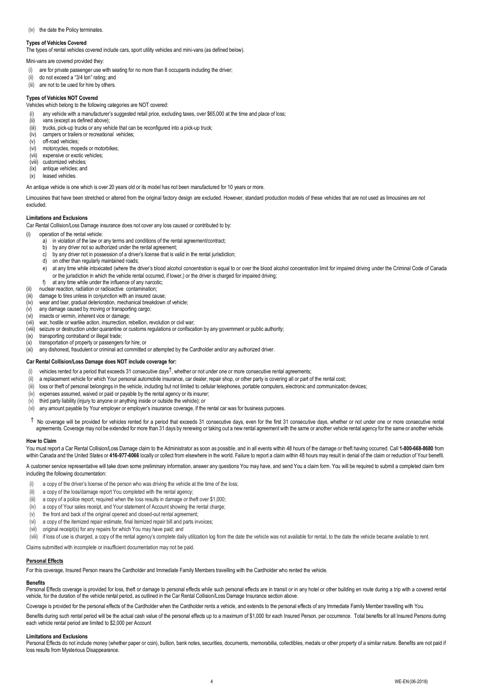## (iv) the date the Policy terminates.

# **Types of Vehicles Covered**

The types of rental vehicles covered include cars, sport utility vehicles and mini-vans (as defined below).

Mini-vans are covered provided they:

- (i) are for private passenger use with seating for no more than 8 occupants including the driver;
- (ii) do not exceed a "3/4 ton" rating; and
- (iii) are not to be used for hire by others.

# **Types of Vehicles NOT Covered**

Vehicles which belong to the following categories are NOT covered:

any vehicle with a manufacturer's suggested retail price, excluding taxes, over \$65,000 at the time and place of loss;

- (ii) vans (except as defined above);
- (iii) trucks, pick-up trucks or any vehicle that can be reconfigured into a pick-up truck;
- (iv) campers or trailers or recreational vehicles; (v) off-road vehicles;
- (vi) motorcycles, mopeds or motorbikes;
- (vii) expensive or exotic vehicles;
- (viii) customized vehicles;
- $(ix)$  antique vehicles; and
- (x) leased vehicles.

An antique vehicle is one which is over 20 years old or its model has not been manufactured for 10 years or more.

Limousines that have been stretched or altered from the original factory design are excluded. However, standard production models of these vehicles that are not used as limousines are not excluded

### **Limitations and Exclusions**

Car Rental Collision/Loss Damage insurance does not cover any loss caused or contributed to by:

- (i) operation of the rental vehicle:
	- a) in violation of the law or any terms and conditions of the rental agreement/contract;
	- b) by any driver not so authorized under the rental agreement;
	- c) by any driver not in possession of a driver's license that is valid in the rental jurisdiction;
	- d) on other than regularly maintained roads;
	- e) at any time while intoxicated (where the driver's blood alcohol concentration is equal to or over the blood alcohol concentration limit for impaired driving under the Criminal Code of Canada or the jurisdiction in which the vehicle rental occurred, if lower,) or the driver is charged for impaired driving;
	- f) at any time while under the influence of any narcotic;
- (ii) nuclear reaction, radiation or radioactive contamination;
- damage to tires unless in conjunction with an insured cause;
- (iv) wear and tear, gradual deterioration, mechanical breakdown of vehicle; (v) any damage caused by moving or transporting cargo;
- (vi) insects or vermin, inherent vice or damage;
- (vii) war, hostile or warlike action, insurrection, rebellion, revolution or civil war;
- (viii) seizure or destruction under quarantine or customs regulations or confiscation by any government or public authority;
- $(ix)$  transporting contraband or illegal trade;<br> $(x)$  transportation of property or passengers
- transportation of property or passengers for hire; or

(xi) any dishonest, fraudulent or criminal act committed or attempted by the Cardholder and/or any authorized driver.

# **Car Rental Collision/Loss Damage does NOT include coverage for:**

- (i) vehicles rented for a period that exceeds 31 consecutive days  $^\dagger$ , whether or not under one or more consecutive rental agreements;
- (ii) a replacement vehicle for which Your personal automobile insurance, car dealer, repair shop, or other party is covering all or part of the rental cost;
- (iii) loss or theft of personal belongings in the vehicle, including but not limited to cellular telephones, portable computers, electronic and communication devices;
- (iv) expenses assumed, waived or paid or payable by the rental agency or its insurer;
- (v) third party liability (injury to anyone or anything inside or outside the vehicle); or
- (vi) any amount payable by Your employer or employer's insurance coverage, if the rental car was for business purposes.
- $\hbar$  No coverage will be provided for vehicles rented for a period that exceeds 31 consecutive days, even for the first 31 consecutive days, whether or not under one or more consecutive rental agreements. Coverage may not be extended for more than 31 days by renewing or taking out a new rental agreement with the same or another vehicle rental agency for the same or another vehicle.

### **How to Claim**

You must report a Car Rental Collision/Loss Damage claim to the Administrator as soon as possible, and in all events within 48 hours of the damage or theft having occurred. Call **1-800-668-8680** from within Canada and the United States or 416-977-6066 locally or collect from elsewhere in the world. Failure to report a claim within 48 hours may result in denial of the claim or reduction of Your benefit.

A customer service representative will take down some preliminary information, answer any questions You may have, and send You a claim form. You will be required to submit a completed claim form including the following documentation:

- a copy of the driver's license of the person who was driving the vehicle at the time of the loss;
- (ii) a copy of the loss/damage report You completed with the rental agency;
- (iii) a copy of a police report, required when the loss results in damage or theft over \$1,000;
- (iv) a copy of Your sales receipt, and Your statement of Account showing the rental charge;
- (v) the front and back of the original opened and closed-out rental agreement;
- (vi) a copy of the itemized repair estimate, final itemized repair bill and parts invoices;
- (vii) original receipt(s) for any repairs for which You may have paid; and
- 

(viii) if loss of use is charged, a copy of the rental agency's complete daily utilization log from the date the vehicle was not available for rental, to the date the vehicle became available to rent.

Claims submitted with incomplete or insufficient documentation may not be paid.

# **Personal Effects**

For this coverage, Insured Person means the Cardholder and Immediate Family Members travelling with the Cardholder who rented the vehicle.

# **Benefits**

Personal Effects coverage is provided for loss, theft or damage to personal effects while such personal effects are in transit or in any hotel or other building en route during a trip with a covered rental vehicle, for the duration of the vehicle rental period, as outlined in the Car Rental Collision/Loss Damage Insurance section above.

Coverage is provided for the personal effects of the Cardholder when the Cardholder rents a vehicle, and extends to the personal effects of any Immediate Family Member travelling with You.

Benefits during such rental period will be the actual cash value of the personal effects up to a maximum of \$1,000 for each Insured Person, per occurrence. Total benefits for all Insured Persons during each vehicle rental period are limited to \$2,000 per Account

# **Limitations and Exclusions**

Personal Effects do not include money (whether paper or coin), bullion, bank notes, securities, documents, memorabilia, collectibles, medals or other property of a similar nature. Benefits are not paid if loss results from Mysterious Disappearance.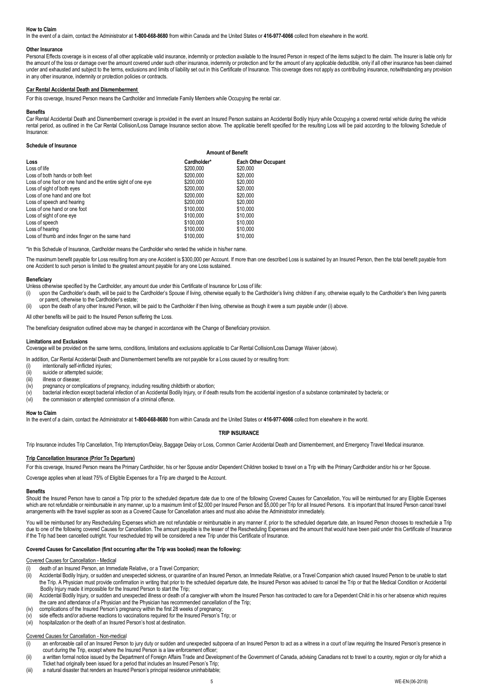# **How to Claim**

In the event of a claim, contact the Administrator at **1-800-668-8680** from within Canada and the United States or **416-977-6066** collect from elsewhere in the world.

### **Other Insurance**

Personal Effects coverage is in excess of all other applicable valid insurance, indemnity or protection available to the Insured Person in respect of the items subject to the claim. The Insurer is liable only for the amount of the loss or damage over the amount covered under such other insurance, indemnity or protection and for the amount of any applicable deductible, only if all other insurance has been claimed under and exhausted and subject to the terms, exclusions and limits of liability set out in this Certificate of Insurance. This coverage does not apply as contributing insurance, notwithstanding any provision in any other insurance, indemnity or protection policies or contracts.

# **Car Rental Accidental Death and Dismemberment**

For this coverage, Insured Person means the Cardholder and Immediate Family Members while Occupying the rental car.

#### **Benefits**

Car Rental Accidental Death and Dismemberment coverage is provided in the event an Insured Person sustains an Accidental Bodily Injury while Occupying a covered rental vehicle during the vehicle rental period, as outlined in the Car Rental Collision/Loss Damage Insurance section above. The applicable benefit specified for the resulting Loss will be paid according to the following Schedule of Insurance:

#### **Schedule of Insurance**

| Loss                                                         | <b>Amount of Benefit</b> |                            |
|--------------------------------------------------------------|--------------------------|----------------------------|
|                                                              | Cardholder*              | <b>Each Other Occupant</b> |
| Loss of life                                                 | \$200,000                | \$20,000                   |
| Loss of both hands or both feet                              | \$200,000                | \$20,000                   |
| Loss of one foot or one hand and the entire sight of one eye | \$200,000                | \$20,000                   |
| Loss of sight of both eyes                                   | \$200,000                | \$20,000                   |
| Loss of one hand and one foot                                | \$200,000                | \$20,000                   |
| Loss of speech and hearing                                   | \$200,000                | \$20,000                   |
| Loss of one hand or one foot                                 | \$100,000                | \$10,000                   |
| Loss of sight of one eye                                     | \$100,000                | \$10,000                   |
| Loss of speech                                               | \$100,000                | \$10,000                   |
| Loss of hearing                                              | \$100,000                | \$10,000                   |
| Loss of thumb and index finger on the same hand              | \$100,000                | \$10,000                   |

\*In this Schedule of Insurance, Cardholder means the Cardholder who rented the vehicle in his/her name.

The maximum benefit payable for Loss resulting from any one Accident is \$300,000 per Account. If more than one described Loss is sustained by an Insured Person, then the total benefit payable from one Accident to such person is limited to the greatest amount payable for any one Loss sustained.

#### **Beneficiary**

Unless otherwise specified by the Cardholder, any amount due under this Certificate of Insurance for Loss of life:

(i) upon the Cardholder's death, will be paid to the Cardholder's Spouse if living, otherwise equally to the Cardholder's living children if any, otherwise equally to the Cardholder's then living parents or parent, otherwise to the Cardholder's estate;

(ii) upon the death of any other Insured Person, will be paid to the Cardholder if then living, otherwise as though it were a sum payable under (i) above.

All other benefits will be paid to the Insured Person suffering the Loss.

The beneficiary designation outlined above may be changed in accordance with the Change of Beneficiary provision.

#### **Limitations and Exclusions**

Coverage will be provided on the same terms, conditions, limitations and exclusions applicable to Car Rental Collision/Loss Damage Waiver (above).

In addition, Car Rental Accidental Death and Dismemberment benefits are not payable for a Loss caused by or resulting from:

- intentionally self-inflicted injuries;
- (ii) suicide or attempted suicide;
- (iii) illness or disease;
- (iv) pregnancy or complications of pregnancy, including resulting childbirth or abortion;
- (v) bacterial infection except bacterial infection of an Accidental Bodily Injury, or if death results from the accidental ingestion of a substance contaminated by bacteria; or
- (vi) the commission or attempted commission of a criminal offence.

#### **How to Claim**

In the event of a claim, contact the Administrator at **1-800-668-8680** from within Canada and the United States or **416-977-6066** collect from elsewhere in the world.

# **TRIP INSURANCE**

Trip Insurance includes Trip Cancellation, Trip Interruption/Delay, Baggage Delay or Loss, Common Carrier Accidental Death and Dismemberment, and Emergency Travel Medical insurance.

#### **Trip Cancellation Insurance (Prior To Departure)**

For this coverage, Insured Person means the Primary Cardholder, his or her Spouse and/or Dependent Children booked to travel on a Trip with the Primary Cardholder and/or his or her Spouse.

Coverage applies when at least 75% of Eligible Expenses for a Trip are charged to the Account.

# **Benefits**

Should the Insured Person have to cancel a Trip prior to the scheduled departure date due to one of the following Covered Causes for Cancellation, You will be reimbursed for any Eligible Expenses which are not refundable or reimbursable in any manner, up to a maximum limit of \$2,000 per Insured Person and \$5,000 per Trip for all Insured Persons. It is important that Insured Person cancel travel arrangements with the travel supplier as soon as a Covered Cause for Cancellation arises and must also advise the Administrator immediately.

You will be reimbursed for any Rescheduling Expenses which are not refundable or reimbursable in any manner if, prior to the scheduled departure date, an Insured Person chooses to reschedule a Trip due to one of the following covered Causes for Cancellation. The amount payable is the lesser of the Rescheduling Expenses and the amount that would have been paid under this Certificate of Insurance if the Trip had been cancelled outright. Your rescheduled trip will be considered a new Trip under this Certificate of Insurance.

# **Covered Causes for Cancellation (first occurring after the Trip was booked) mean the following:**

Covered Causes for Cancellation - Medical

- death of an Insured Person, an Immediate Relative, or a Travel Companion;
- (ii) Accidental Bodily Injury, or sudden and unexpected sickness, or quarantine of an Insured Person, an Immediate Relative, or a Travel Companion which caused Insured Person to be unable to start the Trip. A Physician must provide confirmation in writing that prior to the scheduled departure date, the Insured Person was advised to cancel the Trip or that the Medical Condition or Accidental Bodily Injury made it impossible for the Insured Person to start the Trip;
- (iii) Accidental Bodily Injury, or sudden and unexpected illness or death of a caregiver with whom the Insured Person has contracted to care for a Dependent Child in his or her absence which requires the care and attendance of a Physician and the Physician has recommended cancellation of the Trip;
- (iv) complications of the Insured Person's pregnancy within the first 28 weeks of pregnancy;
- (v) side effects and/or adverse reactions to vaccinations required for the Insured Person's Trip; or
- (vi) hospitalization or the death of an Insured Person's host at destination.

# Covered Causes for Cancellation - Non-medical

- (i) an enforceable call of an Insured Person to jury duty or sudden and unexpected subpoena of an Insured Person to act as a witness in a court of law requiring the Insured Person's presence in court during the Trip, except where the Insured Person is a law enforcement officer;
- (ii) a written formal notice issued by the Department of Foreign Affairs Trade and Development of the Government of Canada, advising Canadians not to travel to a country, region or city for which a Ticket had originally been issued for a period that includes an Insured Person's Trip;
- (iii) a natural disaster that renders an Insured Person's principal residence uninhabitable;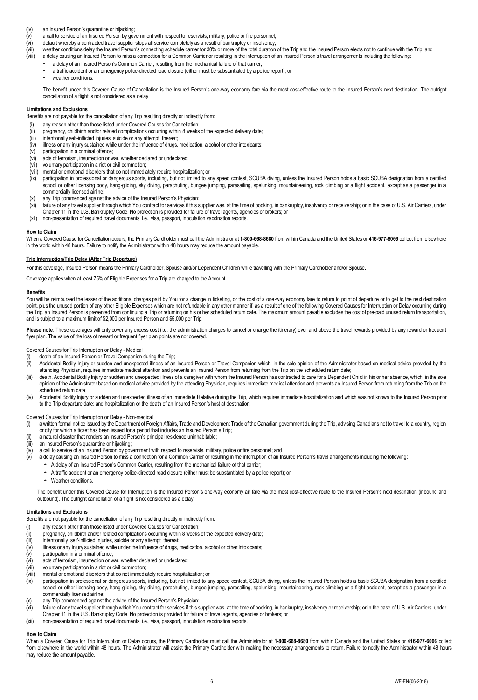- (iv) an Insured Person's quarantine or hijacking;
- (v) a call to service of an Insured Person by government with respect to reservists, military, police or fire personnel; (vi) default whereby a contracted travel supplier stops all service completely as a result of bankruptcy or insolvency;
- (vii) weather conditions delay the Insured Person's connecting schedule carrier for 30% or more of the total duration of the Trip and the Insured Person elects not to continue with the Trip; and (viii) weather conditions d
	- a delay causing an Insured Person to miss a connection for a Common Carrier or resulting in the interruption of an Insured Person's travel arrangements including the following:
		- a delay of an Insured Person's Common Carrier, resulting from the mechanical failure of that carrier;
		- a traffic accident or an emergency police-directed road closure (either must be substantiated by a police report); or
		- weather conditions.

The benefit under this Covered Cause of Cancellation is the Insured Person's one-way economy fare via the most cost-effective route to the Insured Person's next destination. The outright cancellation of a flight is not considered as a delay.

## **Limitations and Exclusions**

Benefits are not payable for the cancellation of any Trip resulting directly or indirectly from:

- (i) any reason other than those listed under Covered Causes for Cancellation;
- (ii) pregnancy, childbirth and/or related complications occurring within 8 weeks of the expected delivery date;<br>(iii) intentionally self-inflicted injuries, suicide or any attempt thereat: intentionally self-inflicted injuries, suicide or any attempt thereat;
- (iv) illness or any injury sustained while under the influence of drugs, medication, alcohol or other intoxicants;
- (v) participation in a criminal offence;
- (vi) acts of terrorism, insurrection or war, whether declared or undeclared;
- (vii) voluntary participation in a riot or civil commotion;
- (viii) mental or emotional disorders that do not immediately require hospitalization; or
- (ix) participation in professional or dangerous sports, including, but not limited to any speed contest, SCUBA diving, unless the Insured Person holds a basic SCUBA designation from a certified school or other licensing body, hang-gliding, sky diving, parachuting, bungee jumping, parasailing, spelunking, mountaineering, rock climbing or a flight accident, except as a passenger in a commercially licensed airline;
- (x) any Trip commenced against the advice of the Insured Person's Physician;
- (xi) failure of any travel supplier through which You contract for services if this supplier was, at the time of booking, in bankruptcy, insolvency or receivership; or in the case of U.S. Air Carriers, under Chapter 11 in the U.S. Bankruptcy Code. No protection is provided for failure of travel agents, agencies or brokers; or
- (xii) non-presentation of required travel documents, i.e., visa, passport, inoculation vaccination reports.

#### **How to Claim**

When a Covered Cause for Cancellation occurs, the Primary Cardholder must call the Administrator at **1-800-668-8680** from within Canada and the United States or **416-977-6066** collect from elsewhere in the world within 48 hours. Failure to notify the Administrator within 48 hours may reduce the amount payable.

# **Trip Interruption/Trip Delay (After Trip Departure)**

For this coverage, Insured Person means the Primary Cardholder, Spouse and/or Dependent Children while travelling with the Primary Cardholder and/or Spouse.

Coverage applies when at least 75% of Eligible Expenses for a Trip are charged to the Account.

#### **Benefits**

You will be reimbursed the lesser of the additional charges paid by You for a change in ticketing, or the cost of a one-way economy fare to return to point of departure or to get to the next destination point, plus the unused portion of any other Eligible Expenses which are not refundable in any other manner if, as a result of one of the following Covered Causes for Interruption or Delay occurring during the Trip, an Insured Person is prevented from continuing a Trip or returning on his or her scheduled return date. The maximum amount payable excludes the cost of pre-paid unused return transportation, and is subject to a maximum limit of \$2,000 per Insured Person and \$5,000 per Trip.

Please note: These coverages will only cover any excess cost (i.e. the administration charges to cancel or change the itinerary) over and above the travel rewards provided by any reward or frequent flyer plan. The value of the loss of reward or frequent flyer plan points are not covered.

#### Covered Causes for Trip Interruption or Delay - Medical

- death of an Insured Person or Travel Companion during the Trip;
- (ii) Accidental Bodily Injury or sudden and unexpected illness of an Insured Person or Travel Companion which, in the sole opinion of the Administrator based on medical advice provided by the attending Physician, requires immediate medical attention and prevents an Insured Person from returning from the Trip on the scheduled return date;
- (iii) death, Accidental Bodily Injury or sudden and unexpected illness of a caregiver with whom the Insured Person has contracted to care for a Dependent Child in his or her absence, which, in the sole opinion of the Administrator based on medical advice provided by the attending Physician, requires immediate medical attention and prevents an Insured Person from returning from the Trip on the scheduled return date:
- (iv) Accidental Bodily Injury or sudden and unexpected illness of an Immediate Relative during the Trip, which requires immediate hospitalization and which was not known to the Insured Person prior to the Trip departure date; and hospitalization or the death of an Insured Person's host at destination.

## Covered Causes for Trip Interruption or Delay - Non-medical

- (i) a written formal notice issued by the Department of Foreign Affairs, Trade and Development Trade of the Canadian government during the Trip, advising Canadians not to travel to a country, region or city for which a ticket has been issued for a period that includes an Insured Person's Trip;
- (ii) a natural disaster that renders an Insured Person's principal residence uninhabitable;
- (iii) an Insured Person's quarantine or hijacking;
- (iv) a call to service of an Insured Person by government with respect to reservists, military, police or fire personnel; and
- (v) a delay causing an Insured Person to miss a connection for a Common Carrier or resulting in the interruption of an Insured Person's travel arrangements including the following:
	- A delay of an Insured Person's Common Carrier, resulting from the mechanical failure of that carrier;
	- A traffic accident or an emergency police-directed road closure (either must be substantiated by a police report); or
	- Weather conditions

The benefit under this Covered Cause for Interruption is the Insured Person's one-way economy air fare via the most cost-effective route to the Insured Person's next destination (inbound and outbound). The outright cancellation of a flight is not considered as a delay.

#### **Limitations and Exclusions**

Benefits are not payable for the cancellation of any Trip resulting directly or indirectly from:

- (i) any reason other than those listed under Covered Causes for Cancellation;
- (ii) pregnancy, childbirth and/or related complications occurring within 8 weeks of the expected delivery date;
- (iii) intentionally self-inflicted injuries, suicide or any attempt thereat;
- (iv) illness or any injury sustained while under the influence of drugs, medication, alcohol or other intoxicants;
- $(v)$  participation in a criminal offence;
- (vi) acts of terrorism, insurrection or war, whether declared or undeclared;
- (vii) voluntary participation in a riot or civil commotion;
- (viii) mental or emotional disorders that do not immediately require hospitalization; or
- (ix) participation in professional or dangerous sports, including, but not limited to any speed contest, SCUBA diving, unless the Insured Person holds a basic SCUBA designation from a certified school or other licensing body, hang-gliding, sky diving, parachuting, bungee jumping, parasailing, spelunking, mountaineering, rock climbing or a flight accident, except as a passenger in a commercially licensed airline;
- (x) any Trip commenced against the advice of the Insured Person's Physician;
- (xi) failure of any travel supplier through which You contract for services if this supplier was, at the time of booking, in bankruptcy, insolvency or receivership; or in the case of U.S. Air Carriers, under
- Chapter 11 in the U.S. Bankruptcy Code. No protection is provided for failure of travel agents, agencies or brokers; or
- (xii) non-presentation of required travel documents, i.e., visa, passport, inoculation vaccination reports.

#### **How to Claim**

When a Covered Cause for Trip Interruption or Delay occurs, the Primary Cardholder must call the Administrator at **1-800-668-8680** from within Canada and the United States or **416-977-6066** collect from elsewhere in the world within 48 hours. The Administrator will assist the Primary Cardholder with making the necessary arrangements to return. Failure to notify the Administrator within 48 hours may reduce the amount payable.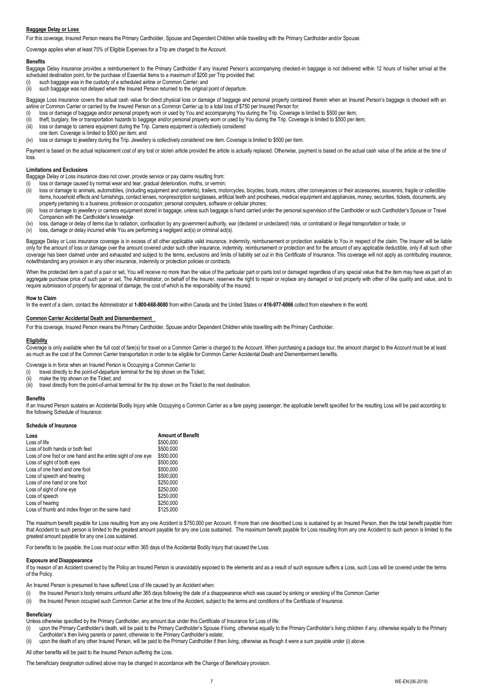# **Baggage Delay or Loss**

For this coverage, Insured Person means the Primary Cardholder, Spouse and Dependent Children while travelling with the Primary Cardholder and/or Spouse.

Coverage applies when at least 75% of Eligible Expenses for a Trip are charged to the Account.

### **Benefits**

Baggage Delay insurance provides a reimbursement to the Primary Cardholder if any Insured Person's accompanying checked-in baggage is not delivered within 12 hours of his/her arrival at the scheduled destination point, for the purchase of Essential Items to a maximum of \$200 per Trip provided that:

- (i) such baggage was in the custody of a scheduled airline or Common Carrier; and
- such baggage was not delayed when the Insured Person returned to the original point of departure.

Baggage Loss insurance covers the actual cash value for direct physical loss or damage of baggage and personal property contained therein when an Insured Person's baggage is checked with an airline or Common Carrier or carried by the Insured Person on a Common Carrier up to a total loss of \$750 per Insured Person for:

- loss or damage of baggage and/or personal property worn or used by You and accompanying You during the Trip. Coverage is limited to \$500 per item;
- (ii) theft, burglary, fire or transportation hazards to baggage and/or personal property worn or used by You during the Trip. Coverage is limited to \$500 per item;
- (iii) loss or damage to camera equipment during the Trip. Camera equipment is collectively considered
- one item. Coverage is limited to \$500 per item; and

(iv) loss or damage to jewellery during the Trip. Jewellery is collectively considered one item. Coverage is limited to \$500 per item.

Payment is based on the actual replacement cost of any lost or stolen article provided the article is actually replaced. Otherwise, payment is based on the actual cash value of the article at the time of loss.

### **Limitations and Exclusions**

Baggage Delay or Loss insurance does not cover, provide service or pay claims resulting from:

- loss or damage caused by normal wear and tear, gradual deterioration, moths, or vermin;
- (ii) loss or damage to animals, automobiles, (including equipment and contents), trailers, motorcycles, bicycles, boats, motors, other conveyances or their accessories, souvenirs, fragile or collectible items, household effects and furnishings, contact lenses, nonprescription sunglasses, artificial teeth and prostheses, medical equipment and appliances, money, securities, tickets, documents, any property pertaining to a business, profession or occupation; personal computers, software or cellular phones;
- (iii) loss or damage to jewellery or camera equipment stored in baggage, unless such baggage is hand carried under the personal supervision of the Cardholder or such Cardholder's Spouse or Travel Companion with the Cardholder's knowledge
- (iv) loss, damage or delay of items due to radiation, confiscation by any government authority, war (declared or undeclared) risks, or contraband or illegal transportation or trade; or
- (v) loss, damage or delay incurred while You are performing a negligent act(s) or criminal act(s).

Baggage Delay or Loss insurance coverage is in excess of all other applicable valid insurance, indemnity, reimbursement or protection available to You in respect of the claim. The Insurer will be liable only for the amount of loss or damage over the amount covered under such other insurance, indemnity, reimbursement or protection and for the amount of any applicable deductible, only if all such other coverage has been claimed under and exhausted and subject to the terms, exclusions and limits of liability set out in this Certificate of Insurance. This coverage will not apply as contributing insurance, notwithstanding any provision in any other insurance, indemnity or protection policies or contracts.

When the protected item is part of a pair or set, You will receive no more than the value of the particular part or parts lost or damaged regardless of any special value that the item may have as part of an aggregate purchase price of such pair or set. The Administrator, on behalf of the Insurer, reserves the right to repair or replace any damaged or lost property with other of like quality and value, and to require submission of property for appraisal of damage, the cost of which is the responsibility of the insured.

#### **How to Claim**

In the event of a claim, contact the Administrator at **1-800-668-8680** from within Canada and the United States or **416-977-6066** collect from elsewhere in the world.

#### **Common Carrier Accidental Death and Dismemberment**

For this coverage, Insured Person means the Primary Cardholder, Spouse and/or Dependent Children while travelling with the Primary Cardholder.

### **Eligibility**

Coverage is only available when the full cost of fare(s) for travel on a Common Carrier is charged to the Account. When purchasing a package tour, the amount charged to the Account must be at least as much as the cost of the Common Carrier transportation in order to be eligible for Common Carrier Accidental Death and Dismemberment benefits.

- Coverage is in force when an Insured Person is Occupying a Common Carrier to:
- (i) travel directly to the point-of-departure terminal for the trip shown on the Ticket;
- (ii) make the trip shown on the Ticket; and
- (iii) travel directly from the point-of-arrival terminal for the trip shown on the Ticket to the next destination.

#### **Benefits**

If an Insured Person sustains an Accidental Bodily Injury while Occupying a Common Carrier as a fare paying passenger, the applicable benefit specified for the resulting Loss will be paid according to the following Schedule of Insurance:

#### **Schedule of Insurance**

| Loss                                                         | <b>Amount of Benefit</b> |
|--------------------------------------------------------------|--------------------------|
| Loss of life                                                 | \$500,000                |
| Loss of both hands or both feet                              | \$500,000                |
| Loss of one foot or one hand and the entire sight of one eye | \$500,000                |
| Loss of sight of both eyes                                   | \$500,000                |
| Loss of one hand and one foot                                | \$500,000                |
| Loss of speech and hearing                                   | \$500,000                |
| Loss of one hand or one foot                                 | \$250,000                |
| Loss of sight of one eye                                     | \$250,000                |
| Loss of speech                                               | \$250,000                |
| Loss of hearing                                              | \$250,000                |
| Loss of thumb and index finger on the same hand              | \$125,000                |
|                                                              |                          |

The maximum benefit payable for Loss resulting from any one Accident is \$750,000 per Account. If more than one described Loss is sustained by an Insured Person, then the total benefit payable from that Accident to such person is limited to the greatest amount payable for any one Loss sustained. The maximum benefit payable for Loss resulting from any one Accident to such person is limited to the greatest amount payable for any one Loss sustained.

For benefits to be payable, the Loss must occur within 365 days of the Accidental Bodily Injury that caused the Loss.

### **Exposure and Disappearance**

If by reason of an Accident covered by the Policy an Insured Person is unavoidably exposed to the elements and as a result of such exposure suffers a Loss, such Loss will be covered under the terms of the Policy.

An Insured Person is presumed to have suffered Loss of life caused by an Accident when:

- (i) the Insured Person's body remains unfound after 365 days following the date of a disappearance which was caused by sinking or wrecking of the Common Carrier
- (ii) the Insured Person occupied such Common Carrier at the time of the Accident, subject to the terms and conditions of the Certificate of Insurance.

# **Beneficiary**

Unless otherwise specified by the Primary Cardholder, any amount due under this Certificate of Insurance for Loss of life:

(i) upon the Primary Cardholder's death, will be paid to the Primary Cardholder's Spouse if living, otherwise equally to the Primary Cardholder's living children if any, otherwise equally to the Primary Cardholder's then living parents or parent, otherwise to the Primary Cardholder's estate;

(ii) upon the death of any other Insured Person, will be paid to the Primary Cardholder if then living, otherwise as though it were a sum payable under (i) above.

All other benefits will be paid to the Insured Person suffering the Loss.

The beneficiary designation outlined above may be changed in accordance with the Change of Beneficiary provision.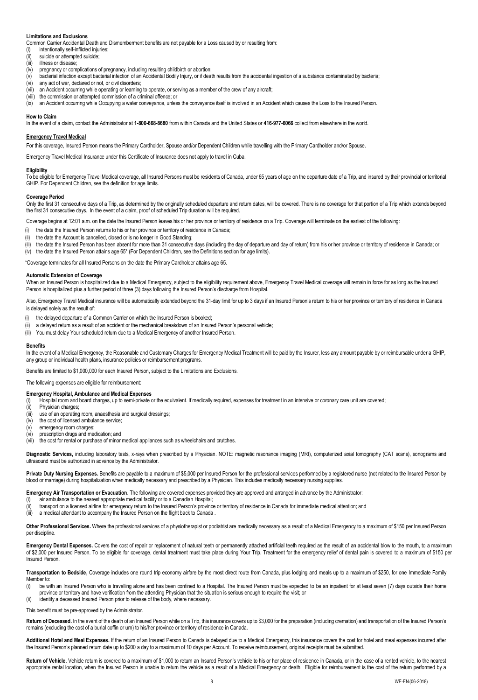## **Limitations and Exclusions**

Common Carrier Accidental Death and Dismemberment benefits are not payable for a Loss caused by or resulting from:

- (i) intentionally self-inflicted injuries;<br>(ii) suicide or attempted suicide:
- suicide or attempted suicide:
- (iii) illness or disease;
- (iv) pregnancy or complications of pregnancy, including resulting childbirth or abortion;
- (v) bacterial infection except bacterial infection of an Accidental Bodily Injury, or if death results from the accidental ingestion of a substance contaminated by bacteria;
- (vi) any act of war, declared or not, or civil disorders; (vii) an Accident occurring while operating or learning to operate, or serving as a member of the crew of any aircraft;
- (viii) the commission or attempted commission of a criminal offence; or

(ix) an Accident occurring while Occupying a water conveyance, unless the conveyance itself is involved in an Accident which causes the Loss to the Insured Person.

#### **How to Claim**

In the event of a claim, contact the Administrator at **1-800-668-8680** from within Canada and the United States or **416-977-6066** collect from elsewhere in the world.

# **Emergency Travel Medical**

For this coverage, Insured Person means the Primary Cardholder, Spouse and/or Dependent Children while travelling with the Primary Cardholder and/or Spouse.

Emergency Travel Medical Insurance under this Certificate of Insurance does not apply to travel in Cuba.

#### **Eligibility**

To be eligible for Emergency Travel Medical coverage, all Insured Persons must be residents of Canada, under 65 years of age on the departure date of a Trip, and insured by their provincial or territorial GHIP. For Dependent Children, see the definition for age limits.

#### **Coverage Period**

Only the first 31 consecutive days of a Trip, as determined by the originally scheduled departure and return dates, will be covered. There is no coverage for that portion of a Trip which extends beyond the first 31 consecutive days. In the event of a claim, proof of scheduled Trip duration will be required.

Coverage begins at 12:01 a.m. on the date the Insured Person leaves his or her province or territory of residence on a Trip. Coverage will terminate on the earliest of the following:

- (i) the date the Insured Person returns to his or her province or territory of residence in Canada;
- the date the Account is cancelled, closed or is no longer in Good Standing;

the date the Insured Person has been absent for more than 31 consecutive days (including the day of departure and day of return) from his or her province or territory of residence in Canada; or (iv) the date the Insured Person attains age 65\* (For Dependent Children, see the Definitions section for age limits).

\*Coverage terminates for all Insured Persons on the date the Primary Cardholder attains age 65.

#### **Automatic Extension of Coverage**

When an Insured Person is hospitalized due to a Medical Emergency, subject to the eligibility requirement above, Emergency Travel Medical coverage will remain in force for as long as the Insured Person is hospitalized plus a further period of three (3) days following the Insured Person's discharge from Hospital.

Also, Emergency Travel Medical insurance will be automatically extended beyond the 31-day limit for up to 3 days if an Insured Person's return to his or her province or territory of residence in Canada is delayed solely as the result of:

- (i) the delayed departure of a Common Carrier on which the Insured Person is booked;
- a delayed return as a result of an accident or the mechanical breakdown of an Insured Person's personal vehicle;
- (iii) You must delay Your scheduled return due to a Medical Emergency of another Insured Person.

#### **Benefits**

In the event of a Medical Emergency, the Reasonable and Customary Charges for Emergency Medical Treatment will be paid by the Insurer, less any amount payable by or reimbursable under a GHIP, any group or individual health plans, insurance policies or reimbursement programs.

Benefits are limited to \$1,000,000 for each Insured Person, subject to the Limitations and Exclusions.

The following expenses are eligible for reimbursement:

### **Emergency Hospital, Ambulance and Medical Expenses**

Hospital room and board charges, up to semi-private or the equivalent. If medically required, expenses for treatment in an intensive or coronary care unit are covered;

- (ii) Physician charges;
- $\lim_{x \to 0}$  use of an operating room, anaesthesia and surgical dressings;
- (iv) the cost of licensed ambulance service;
- (v) emergency room charges;
- (vi) prescription drugs and medication; and

(vii) the cost for rental or purchase of minor medical appliances such as wheelchairs and crutches.

**Diagnostic Services,** including laboratory tests, x-rays when prescribed by a Physician. NOTE: magnetic resonance imaging (MRI), computerized axial tomography (CAT scans), sonograms and ultrasound must be authorized in advance by the Administrator.

**Private Duty Nursing Expenses.** Benefits are payable to a maximum of \$5,000 per Insured Person for the professional services performed by a registered nurse (not related to the Insured Person by blood or marriage) during hospitalization when medically necessary and prescribed by a Physician. This includes medically necessary nursing supplies.

**Emergency Air Transportation or Evacuation.** The following are covered expenses provided they are approved and arranged in advance by the Administrator:

- (i) air ambulance to the nearest appropriate medical facility or to a Canadian Hospital;
- (ii) transport on a licensed airline for emergency return to the Insured Person's province or territory of residence in Canada for immediate medical attention; and
- (iii) a medical attendant to accompany the Insured Person on the flight back to Canada .

Other Professional Services. Where the professional services of a physiotherapist or podiatrist are medically necessary as a result of a Medical Emergency to a maximum of \$150 per Insured Person per discipline.

Emergency Dental Expenses. Covers the cost of repair or replacement of natural teeth or permanently attached artificial teeth required as the result of an accidental blow to the mouth, to a maximum of \$2,000 per Insured Person. To be eligible for coverage, dental treatment must take place during Your Trip. Treatment for the emergency relief of dental pain is covered to a maximum of \$150 per Insured Person.

**Transportation to Bedside,** Coverage includes one round trip economy airfare by the most direct route from Canada, plus lodging and meals up to a maximum of \$250, for one Immediate Family Member to:

- (i) be with an Insured Person who is travelling alone and has been confined to a Hospital. The Insured Person must be expected to be an inpatient for at least seven (7) days outside their home province or territory and have verification from the attending Physician that the situation is serious enough to require the visit; or (ii) identify a deceased Insured Person prior to release of the body, where necessary.
- This benefit must be pre-approved by the Administrator.

Return of Deceased. In the event of the death of an Insured Person while on a Trip, this insurance covers up to \$3,000 for the preparation (including cremation) and transportation of the Insured Person's remains (excluding the cost of a burial coffin or urn) to his/her province or territory of residence in Canada.

Additional Hotel and Meal Expenses. If the return of an Insured Person to Canada is delayed due to a Medical Emergency, this insurance covers the cost for hotel and meal expenses incurred after the Insured Person's planned return date up to \$200 a day to a maximum of 10 days per Account. To receive reimbursement, original receipts must be submitted.

Return of Vehicle. Vehicle return is covered to a maximum of \$1,000 to return an Insured Person's vehicle to his or her place of residence in Canada, or in the case of a rented vehicle, to the nearest appropriate rental location, when the Insured Person is unable to return the vehicle as a result of a Medical Emergency or death. Eligible for reimbursement is the cost of the return performed by a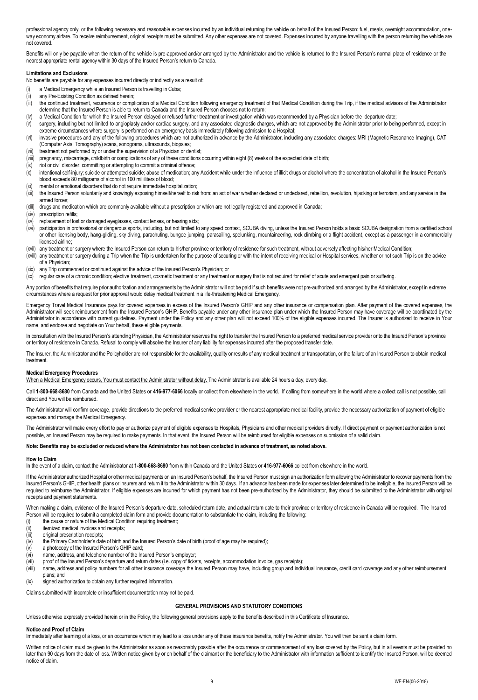professional agency only, or the following necessary and reasonable expenses incurred by an individual returning the vehicle on behalf of the Insured Person: fuel, meals, overnight accommodation, oneway economy airfare. To receive reimbursement, original receipts must be submitted. Any other expenses are not covered. Expenses incurred by anyone travelling with the person returning the vehicle are not covered.

Benefits will only be payable when the return of the vehicle is pre-approved and/or arranged by the Administrator and the vehicle is returned to the Insured Person's normal place of residence or the nearest appropriate rental agency within 30 days of the Insured Person's return to Canada.

## **Limitations and Exclusions**

No benefits are payable for any expenses incurred directly or indirectly as a result of:

- (i) a Medical Emergency while an Insured Person is travelling in Cuba;
- (ii) any Pre-Existing Condition as defined herein;
- (iii) the continued treatment, recurrence or complication of a Medical Condition following emergency treatment of that Medical Condition during the Trip, if the medical advisors of the Administrator determine that the Insured Person is able to return to Canada and the Insured Person chooses not to return;
- (iv) a Medical Condition for which the Insured Person delayed or refused further treatment or investigation which was recommended by a Physician before the departure date;
- (v) surgery, including but not limited to angioplasty and/or cardiac surgery, and any associated diagnostic charges, which are not approved by the Administrator prior to being performed, except in extreme circumstances where surgery is performed on an emergency basis immediately following admission to a Hospital;
- (vi) invasive procedures and any of the following procedures which are not authorized in advance by the Administrator, including any associated charges: MRI (Magnetic Resonance Imaging), CAT (Computer Axial Tomography) scans, sonograms, ultrasounds, biopsies;
- (vii) treatment not performed by or under the supervision of a Physician or dentist;
- (viii) pregnancy, miscarriage, childbirth or complications of any of these conditions occurring within eight (8) weeks of the expected date of birth;
- (ix) riot or civil disorder; committing or attempting to commit a criminal offence;
- (x) intentional self-injury; suicide or attempted suicide; abuse of medication; any Accident while under the influence of illicit drugs or alcohol where the concentration of alcohol in the Insured Person's blood exceeds 80 milligrams of alcohol in 100 milliliters of blood;
- (xi) mental or emotional disorders that do not require immediate hospitalization;
- (xii) the Insured Person voluntarily and knowingly exposing himself/herself to risk from: an act of war whether declared or undeclared, rebellion, revolution, hijacking or terrorism, and any service in the armed forces;
- (xiii) drugs and medication which are commonly available without a prescription or which are not legally registered and approved in Canada;
- (xiv) prescription refills;
- (xv) replacement of lost or damaged eyeglasses, contact lenses, or hearing aids;
- (xvi) participation in professional or dangerous sports, including, but not limited to any speed contest, SCUBA diving, unless the Insured Person holds a basic SCUBA designation from a certified school or other licensing body, hang-gliding, sky diving, parachuting, bungee jumping, parasailing, spelunking, mountaineering, rock climbing or a flight accident, except as a passenger in a commercially licensed airline;
- (xvii) any treatment or surgery where the Insured Person can return to his/her province or territory of residence for such treatment, without adversely affecting his/her Medical Condition;
- (xviii) any treatment or surgery during a Trip when the Trip is undertaken for the purpose of securing or with the intent of receiving medical or Hospital services, whether or not such Trip is on the advice of a Physician;
- (xix) any Trip commenced or continued against the advice of the Insured Person's Physician; or
- (xx) regular care of a chronic condition; elective treatment, cosmetic treatment or any treatment or surgery that is not required for relief of acute and emergent pain or suffering.

Any portion of benefits that require prior authorization and arrangements by the Administrator will not be paid if such benefits were not pre-authorized and arranged by the Administrator, except in extreme circumstances where a request for prior approval would delay medical treatment in a life-threatening Medical Emergency.

Emergency Travel Medical Insurance pays for covered expenses in excess of the Insured Person's GHIP and any other insurance or compensation plan. After payment of the covered expenses, the Administrator will seek reimbursement from the Insured Person's GHIP. Benefits payable under any other insurance plan under which the Insured Person may have coverage will be coordinated by the Administrator in accordance with current guidelines. Payment under the Policy and any other plan will not exceed 100% of the eligible expenses incurred. The Insurer is authorized to receive in Your name, and endorse and negotiate on Your behalf, these eligible payments.

In consultation with the Insured Person's attending Physician, the Administrator reserves the right to transfer the Insured Person to a preferred medical service provider or to the Insured Person's province or territory of residence in Canada. Refusal to comply will absolve the Insurer of any liability for expenses incurred after the proposed transfer date.

The Insurer, the Administrator and the Policyholder are not responsible for the availability, quality or results of any medical treatment or transportation, or the failure of an Insured Person to obtain medical treatment.

#### **Medical Emergency Procedures**

When a Medical Emergency occurs, You must contact the Administrator without delay. The Administrator is available 24 hours a day, every day.

Call **1-800-668-8680** from Canada and the United States or **416-977-6066** locally or collect from elsewhere in the world. If calling from somewhere in the world where a collect call is not possible, call direct and You will be reimbursed.

The Administrator will confirm coverage, provide directions to the preferred medical service provider or the nearest appropriate medical facility, provide the necessary authorization of payment of eligible expenses and manage the Medical Emergency.

The Administrator will make every effort to pay or authorize payment of eligible expenses to Hospitals, Physicians and other medical providers directly. If direct payment or payment authorization is not possible, an Insured Person may be required to make payments. In that event, the Insured Person will be reimbursed for eligible expenses on submission of a valid claim.

### **Note: Benefits may be excluded or reduced where the Administrator has not been contacted in advance of treatment, as noted above.**

#### **How to Claim**

In the event of a claim, contact the Administrator at **1-800-668-8680** from within Canada and the United States or **416-977-6066** collect from elsewhere in the world.

If the Administrator authorized Hospital or other medical payments on an Insured Person's behalf, the Insured Person must sign an authorization form allowing the Administrator to recover payments from the Insured Person's GHIP, other health plans or insurers and return it to the Administrator within 30 days. If an advance has been made for expenses later determined to be ineligible, the Insured Person will be required to reimburse the Administrator. If eligible expenses are incurred for which payment has not been pre-authorized by the Administrator, they should be submitted to the Administrator with original receipts and payment statements.

When making a claim, evidence of the Insured Person's departure date, scheduled return date, and actual return date to their province or territory of residence in Canada will be required. The Insured Person will be required to submit a completed claim form and provide documentation to substantiate the claim, including the following:

- (i) the cause or nature of the Medical Condition requiring treatment;
- (ii) itemized medical invoices and receipts:
- (iii) original prescription receipts;
- (iv) the Primary Cardholder's date of birth and the Insured Person's date of birth (proof of age may be required);
- (v) a photocopy of the Insured Person's GHIP card;
- (vi) name, address, and telephone number of the Insured Person's employer;
- (vii) proof of the Insured Person's departure and return dates (i.e. copy of tickets, receipts, accommodation invoice, gas receipts);
- (viii) name, address and policy numbers for all other insurance coverage the Insured Person may have, including group and individual insurance, credit card coverage and any other reimbursement plans; and
- (ix) signed authorization to obtain any further required information.

Claims submitted with incomplete or insufficient documentation may not be paid.

## **GENERAL PROVISIONS AND STATUTORY CONDITIONS**

Unless otherwise expressly provided herein or in the Policy, the following general provisions apply to the benefits described in this Certificate of Insurance.

# **Notice and Proof of Claim**

Immediately after leaming of a loss, or an occurrence which may lead to a loss under any of these insurance benefits, notify the Administrator. You will then be sent a claim form.

Written notice of claim must be given to the Administrator as soon as reasonably possible after the occurrence or commencement of any loss covered by the Policy, but in all events must be provided no later than 90 days from the date of loss. Written notice given by or on behalf of the claimant or the beneficiary to the Administrator with information sufficient to identify the Insured Person, will be deemed notice of claim.